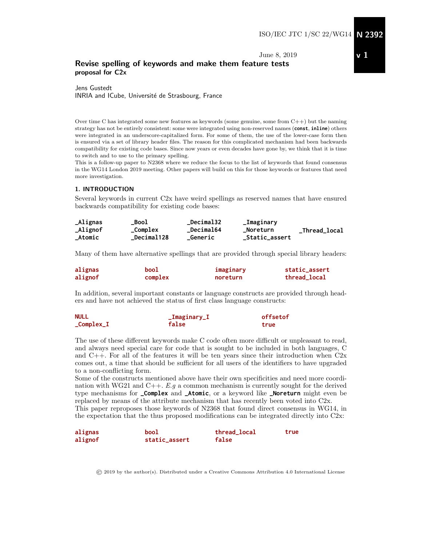June 8, 2019

#### Revise spelling of keywords and make them feature tests proposal for C2x

Jens Gustedt INRIA and ICube, Université de Strasbourg, France

Over time C has integrated some new features as keywords (some genuine, some from  $C++$ ) but the naming strategy has not be entirely consistent: some were integrated using non-reserved names (**const**, **inline**) others were integrated in an underscore-capitalized form. For some of them, the use of the lower-case form then is ensured via a set of library header files. The reason for this complicated mechanism had been backwards compatibility for existing code bases. Since now years or even decades have gone by, we think that it is time to switch and to use to the primary spelling.

This is a follow-up paper to N2368 where we reduce the focus to the list of keywords that found consensus in the WG14 London 2019 meeting. Other papers will build on this for those keywords or features that need more investigation.

#### 1. INTRODUCTION

Several keywords in current C2x have weird spellings as reserved names that have ensured backwards compatibility for existing code bases:

| <b>_Alignas</b> | Bool              | <b>Decimal32</b> | _Imaginary     |               |
|-----------------|-------------------|------------------|----------------|---------------|
| _Alignof        | _Complex          | <b>Decimal64</b> | _Noreturn      | _Thread_local |
| _Atomic         | <b>Decimal128</b> | <b>_Generic</b>  | _Static_assert |               |

Many of them have alternative spellings that are provided through special library headers:

| alignas | bool    | imaginary | static_assert |
|---------|---------|-----------|---------------|
| alignof | complex | noreturn  | thread_local  |

In addition, several important constants or language constructs are provided through headers and have not achieved the status of first class language constructs:

| <b>NULL</b>           | $_\_$ Imaginary $_\_$ I | offsetof |  |
|-----------------------|-------------------------|----------|--|
| $_{\rm \_Complex\_I}$ | false                   | true     |  |

The use of these different keywords make C code often more difficult or unpleasant to read, and always need special care for code that is sought to be included in both languages, C and  $C_{++}$ . For all of the features it will be ten years since their introduction when  $C_{2x}$ comes out, a time that should be sufficient for all users of the identifiers to have upgraded to a non-conflicting form.

Some of the constructs mentioned above have their own specificities and need more coordination with WG21 and  $C_{++}$ . E.g a common mechanism is currently sought for the derived type mechanisms for **\_Complex** and **\_Atomic**, or a keyword like **\_Noreturn** might even be replaced by means of the attribute mechanism that has recently been voted into C2x. This paper reproposes those keywords of N2368 that found direct consensus in WG14, in the expectation that the thus proposed modifications can be integrated directly into C2x:

| alignas | bool          | thread_local | true |
|---------|---------------|--------------|------|
| alignof | static_assert | false        |      |

© 2019 by the author(s). Distributed under a Creative Commons Attribution 4.0 International License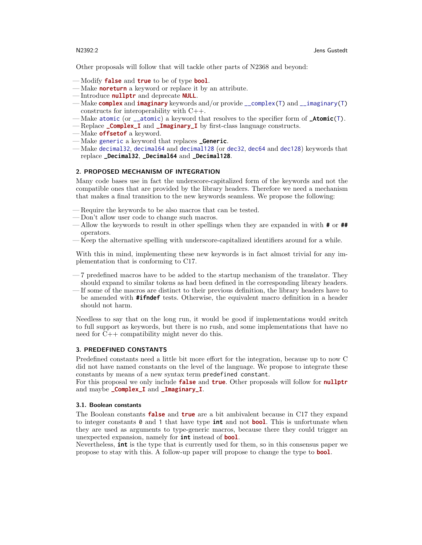Other proposals will follow that will tackle other parts of N2368 and beyond:

- Modify **false** and **true** to be of type **bool**.
- Make **noreturn** a keyword or replace it by an attribute.
- Introduce **nullptr** and deprecate **NULL**.
- Make **complex** and **imaginary** keywords and/or provide \_\_complex(T) and \_\_imaginary(T) constructs for interoperability with C++.
- Make atomic (or \_\_atomic) a keyword that resolves to the specifier form of **\_Atomic**(T).
- Replace **\_Complex\_I** and **\_Imaginary\_I** by first-class language constructs.
- Make **offsetof** a keyword.
- Make generic a keyword that replaces **\_Generic**.
- Make decimal32, decimal64 and decimal128 (or dec32, dec64 and dec128) keywords that replace **\_Decimal32**, **\_Decimal64** and **\_Decimal128**.

#### 2. PROPOSED MECHANISM OF INTEGRATION

Many code bases use in fact the underscore-capitalized form of the keywords and not the compatible ones that are provided by the library headers. Therefore we need a mechanism that makes a final transition to the new keywords seamless. We propose the following:

- Require the keywords to be also macros that can be tested.
- Don't allow user code to change such macros.
- Allow the keywords to result in other spellings when they are expanded in with **#** or **##** operators.
- Keep the alternative spelling with underscore-capitalized identifiers around for a while.

With this in mind, implementing these new keywords is in fact almost trivial for any implementation that is conforming to C17.

- 7 predefined macros have to be added to the startup mechanism of the translator. They should expand to similar tokens as had been defined in the corresponding library headers.
- If some of the macros are distinct to their previous definition, the library headers have to be amended with **#ifndef** tests. Otherwise, the equivalent macro definition in a header should not harm.

Needless to say that on the long run, it would be good if implementations would switch to full support as keywords, but there is no rush, and some implementations that have no need for C++ compatibility might never do this.

#### 3. PREDEFINED CONSTANTS

Predefined constants need a little bit more effort for the integration, because up to now C did not have named constants on the level of the language. We propose to integrate these constants by means of a new syntax term predefined constant.

For this proposal we only include **false** and **true**. Other proposals will follow for **nullptr** and maybe **\_Complex\_I** and **\_Imaginary\_I**.

#### 3.1. Boolean constants

The Boolean constants **false** and **true** are a bit ambivalent because in C17 they expand to integer constants 0 and 1 that have type **int** and not **bool**. This is unfortunate when they are used as arguments to type-generic macros, because there they could trigger an unexpected expansion, namely for **int** instead of **bool**.

Nevertheless, **int** is the type that is currently used for them, so in this consensus paper we propose to stay with this. A follow-up paper will propose to change the type to **bool**.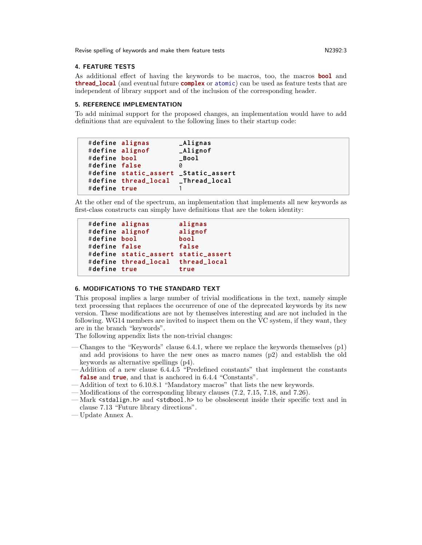Revise spelling of keywords and make them feature tests New M2392:3

#### 4. FEATURE TESTS

As additional effect of having the keywords to be macros, too, the macros **bool** and **thread\_local** (and eventual future **complex** or atomic) can be used as feature tests that are independent of library support and of the inclusion of the corresponding header.

#### 5. REFERENCE IMPLEMENTATION

To add minimal support for the proposed changes, an implementation would have to add definitions that are equivalent to the following lines to their startup code:

```
# define alignas _Alignas
# define alignof _Alignof
# define bool _Bool
# define false 0
# define static_assert _Static_assert
# define thread_local _Thread_local
# define true 1
```
At the other end of the spectrum, an implementation that implements all new keywords as first-class constructs can simply have definitions that are the token identity:

```
# define alignas alignas
# define alignof alignof
# define bool bool
# define false false
# define static_assert static_assert
# define thread_local thread_local
# define true true
```
#### 6. MODIFICATIONS TO THE STANDARD TEXT

This proposal implies a large number of trivial modifications in the text, namely simple text processing that replaces the occurrence of one of the deprecated keywords by its new version. These modifications are not by themselves interesting and are not included in the following. WG14 members are invited to inspect them on the VC system, if they want, they are in the branch "keywords".

The following appendix lists the non-trivial changes:

- Changes to the "Keywords" clause 6.4.1, where we replace the keywords themselves (p1) and add provisions to have the new ones as macro names (p2) and establish the old keywords as alternative spellings (p4).
- Addition of a new clause 6.4.4.5 "Predefined constants" that implement the constants **false** and **true**, and that is anchored in 6.4.4 "Constants".
- Addition of text to 6.10.8.1 "Mandatory macros" that lists the new keywords.
- Modifications of the corresponding library clauses (7.2, 7.15, 7.18, and 7.26).
- Mark <stdalign.h> and <stdbool.h> to be obsolescent inside their specific text and in clause 7.13 "Future library directions".
- Update Annex A.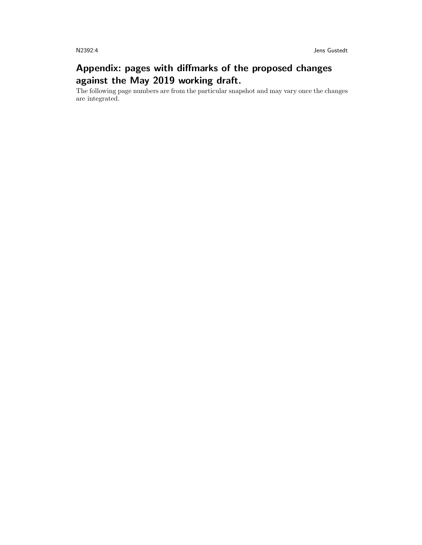# Appendix: pages with diffmarks of the proposed changes against the May 2019 working draft.

The following page numbers are from the particular snapshot and may vary once the changes are integrated.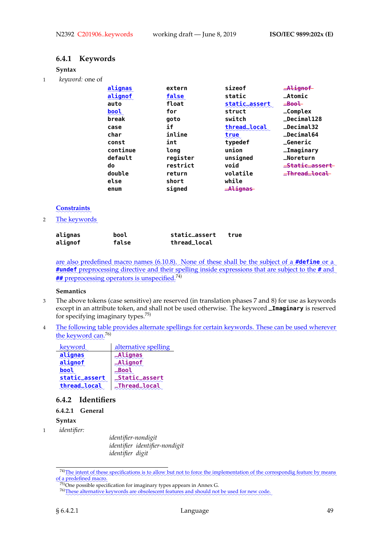# **6.4.1 Keywords**

#### **Syntax**

1 *keyword:* one of

| alignas  | extern   | sizeof        | $A$ lignof                |
|----------|----------|---------------|---------------------------|
| alignof  | false    | static        | $\_Atomic$                |
| auto     | float    | static_assert | $\equiv$ Bool             |
| bool     | for      | struct        | $\_Complex$               |
| break    | qoto     | switch        | _Decimal128               |
| case     | if       | thread_local  | $\_Decima132$             |
| char     | inline   | true          | <b>_Decimal64</b>         |
| const    | int      | typedef       | <b>_Generic</b>           |
| continue | long     | union         | _Imaginary                |
| default  | register | unsigned      | _Noreturn                 |
| do       | restrict | void          | <del>_Static_assert</del> |
| double   | return   | volatile      | _Thread_local             |
| else     | short    | while         |                           |
| enum     | signed   | _Alignas      |                           |

# ✿✿✿✿✿✿✿✿✿✿✿ **Constraints**

2 The keywords

| alignas | bool  | static_assert | true |
|---------|-------|---------------|------|
| alignof | false | thread_local  |      |

are also predefined macro names (6.10.8). None of these shall be the subject of a **#define** or a #undef preprocessing directive and their spelling inside expressions that are subject to the # and **##** preprocessing operators is unspecified.<sup>74)</sup>

#### **Semantics**

- 3 The above tokens (case sensitive) are reserved (in translation phases 7 and 8) for use as keywords except in an attribute token, and shall not be used otherwise. The keyword **\_Imaginary** is reserved for specifying imaginary types.75)
- 4 The following table provides alternate spellings for certain keywords. These can be used wherever the keyword can.<sup>76)</sup>

| keyword        | alternative spelling  |
|----------------|-----------------------|
| <u>alignas</u> | <u>_Alignas</u>       |
| alignof        | $M$ ignof             |
|                |                       |
| static_assert  | <b>_Static_assert</b> |
| thread_local   | <b>_Thread_local</b>  |

# **6.4.2 Identifiers**

#### **6.4.2.1 General**

- **Syntax**
- 1 *identifier:*

*identifier-nondigit identifier identifier-nondigit identifier digit*

<sup>74)</sup> The intent of these specifications is to allow but not to force the implementation of the correspondig feature by means ✿✿✿ of a predefined macro.

 $75$ ) One possible specification for imaginary types appears in Annex G.

<sup>76)</sup> These alternative keywords are obsolescent features and should not be used for new code.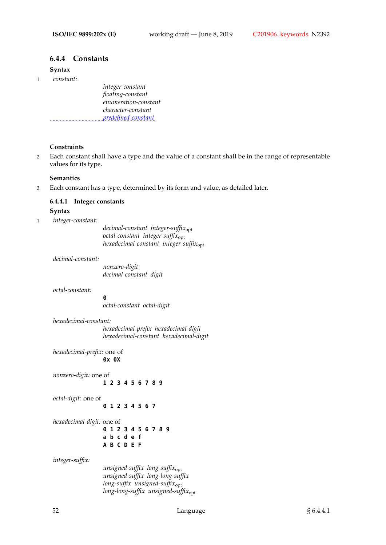# **6.4.4 Constants**

# **Syntax**

1 *constant:*

*integer-constant floating-constant enumeration-constant character-constant* ✿✿✿✿✿✿✿✿✿✿✿✿✿✿✿✿✿✿✿✿✿✿✿✿✿✿✿✿✿✿✿✿ *predefined-constant*✿

#### **Constraints**

2 Each constant shall have a type and the value of a constant shall be in the range of representable values for its type.

#### **Semantics**

3 Each constant has a type, determined by its form and value, as detailed later.

### **6.4.4.1 Integer constants**

#### **Syntax**

1 *integer-constant:*

*decimal-constant integer-suffix*opt *octal-constant integer-suffix*opt *hexadecimal-constant integer-suffix*opt

#### *decimal-constant:*

*nonzero-digit decimal-constant digit*

*octal-constant:*

**0**

*octal-constant octal-digit*

*hexadecimal-constant: hexadecimal-prefix hexadecimal-digit hexadecimal-constant hexadecimal-digit*

*hexadecimal-prefix:* one of **0x 0X**

*nonzero-digit:* one of **1 2 3 4 5 6 7 8 9**

*octal-digit:* one of

**0 1 2 3 4 5 6 7**

*hexadecimal-digit:* one of **0 1 2 3 4 5 6 7 8 9 a b c d e f**

**A B C D E F**

*integer-suffix:*

*unsigned-suffix long-suffix*opt *unsigned-suffix long-long-suffix long-suffix unsigned-suffix*opt *long-long-suffix unsigned-suffix*opt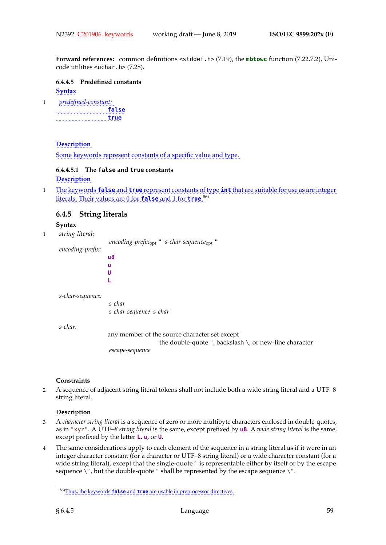**Forward references:** common definitions <stddef.h> (7.19), the **mbtowc** function (7.22.7.2), Unicode utilities <uchar.h> (7.28).

**6.4.4.5 Predefined constants** ✿✿✿✿✿✿ **Syntax**

1 *predefined-constant:* ✿✿✿✿✿✿✿✿✿✿✿✿✿✿✿✿✿✿✿✿✿ **false** ✿✿✿✿✿✿✿✿✿✿✿✿✿✿✿✿✿✿✿✿ **true**

#### **Description**

Some keywords represent constants of a specific value and type.

# **6.4.4.5.1 The false and true constants**

**L**

**Description** 

1 **Execution** The keywords **false** and **true** represent constants of type **int** that are suitable for use as are integer literals. Their values are 0 for **false** and 1 for **true**.<sup>86)</sup>

# **6.4.5 String literals**

**Syntax**

1 *string-literal:*

*encoding-prefix*opt **"** *s-char-sequence*opt **" u8 u U**

*s-char-sequence:*

*encoding-prefix:*

*s-char s-char-sequence s-char*

*s-char:*

any member of the source character set except the double-quote ", backslash \, or new-line character *escape-sequence*

#### **Constraints**

2 A sequence of adjacent string literal tokens shall not include both a wide string literal and a UTF–8 string literal.

#### **Description**

- 3 A *character string literal* is a sequence of zero or more multibyte characters enclosed in double-quotes, as in "xyz". A UTF*–8 string literal* is the same, except prefixed by **u8**. A *wide string literal* is the same, except prefixed by the letter **L**, **u**, or **U**.
- 4 The same considerations apply to each element of the sequence in a string literal as if it were in an integer character constant (for a character or UTF–8 string literal) or a wide character constant (for a wide string literal), except that the single-quote' is representable either by itself or by the escape sequence  $\backslash'$ , but the double-quote " shall be represented by the escape sequence  $\backslash$ ".

<sup>86)</sup> Thus, the keywords **false** and **true** are usable in preprocessor directives.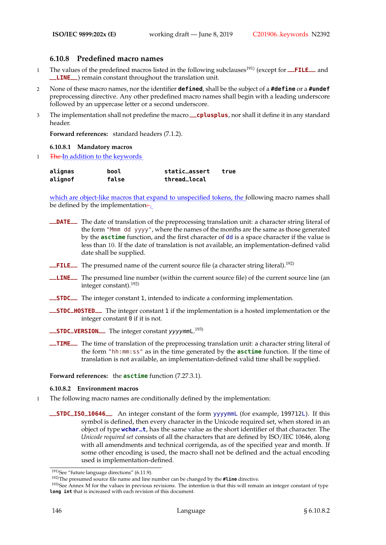# **6.10.8 Predefined macro names**

- 1 The values of the predefined macros listed in the following subclauses<sup>191)</sup> (except for **\_\_FILE** and **\_\_LINE\_\_**) remain constant throughout the translation unit.
- 2 None of these macro names, nor the identifier **defined**, shall be the subject of a **#define** or a **#undef** preprocessing directive. Any other predefined macro names shall begin with a leading underscore followed by an uppercase letter or a second underscore.
- <sup>3</sup> The implementation shall not predefine the macro **\_\_cplusplus**, nor shall it define it in any standard header.

**Forward references:** standard headers (7.1.2).

#### **6.10.8.1 Mandatory macros**

1 The In addition to the keywords

| alignas | bool  | static_assert | true |
|---------|-------|---------------|------|
| alignof | false | thread_local  |      |

which are object-like macros that expand to unspecified tokens, the following macro names shall be defined by the implementation<del>:</del>

- **\_\_DATE\_\_** The date of translation of the preprocessing translation unit: a character string literal of the form "Mmm dd yyyy", where the names of the months are the same as those generated by the **asctime** function, and the first character of dd is a space character if the value is less than 10. If the date of translation is not available, an implementation-defined valid date shall be supplied.
- **\_\_FILE\_\_** The presumed name of the current source file (a character string literal).<sup>192)</sup>
- **\_\_LINE\_\_** The presumed line number (within the current source file) of the current source line (an integer constant).192)
- **\_\_STDC\_\_** The integer constant 1, intended to indicate a conforming implementation.
- **\_\_STDC\_HOSTED\_\_** The integer constant 1 if the implementation is a hosted implementation or the integer constant 0 if it is not.
- **\_\_STDC\_VERSION\_\_** The integer constant yyyymmL. 193)
- **\_\_TIME\_\_** The time of translation of the preprocessing translation unit: a character string literal of the form "hh:mm:ss" as in the time generated by the **asctime** function. If the time of translation is not available, an implementation-defined valid time shall be supplied.

#### **Forward references:** the **asctime** function (7.27.3.1).

#### **6.10.8.2 Environment macros**

- 1 The following macro names are conditionally defined by the implementation:
	- **\_\_STDC\_ISO\_10646\_\_** An integer constant of the form yyyymmL (for example, 199712L). If this symbol is defined, then every character in the Unicode required set, when stored in an object of type **wchar\_t**, has the same value as the short identifier of that character. The *Unicode required set* consists of all the characters that are defined by ISO/IEC 10646, along with all amendments and technical corrigenda, as of the specified year and month. If some other encoding is used, the macro shall not be defined and the actual encoding used is implementation-defined.

<sup>&</sup>lt;sup>191)</sup>See "future language directions" (6.11.9).

<sup>192)</sup>The presumed source file name and line number can be changed by the **#line** directive.

<sup>&</sup>lt;sup>193)</sup>See Annex M for the values in previous revisions. The intention is that this will remain an integer constant of type **long int** that is increased with each revision of this document.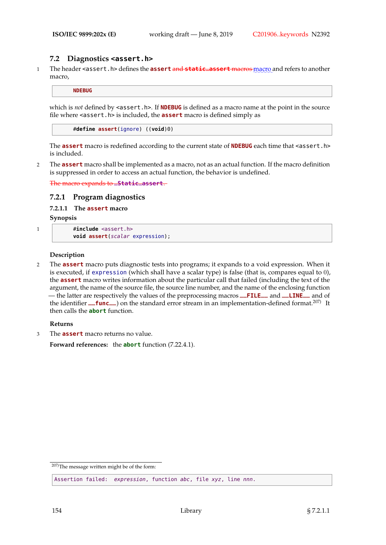# **7.2 Diagnostics <assert.h>**

1 The header <assert.h> defines the **assert** and **static\_assert** macros macro and refers to another macro,

**NDEBUG**

which is *not* defined by <assert.h>. If **NDEBUG** is defined as a macro name at the point in the source file where <assert.h> is included, the **assert** macro is defined simply as

#**define assert**(ignore) ((**void**)0)

The **assert** macro is redefined according to the current state of **NDEBUG** each time that <assert.h> is included.

2 The **assert** macro shall be implemented as a macro, not as an actual function. If the macro definition is suppressed in order to access an actual function, the behavior is undefined.

The macro expands to **\_Static\_assert**.

#### **7.2.1 Program diagnostics**

**7.2.1.1 The assert macro**

**Synopsis**

```
1 #include <assert.h>
```
**void assert**(scalar expression);

#### **Description**

2 The **assert** macro puts diagnostic tests into programs; it expands to a void expression. When it is executed, if expression (which shall have a scalar type) is false (that is, compares equal to 0), the **assert** macro writes information about the particular call that failed (including the text of the argument, the name of the source file, the source line number, and the name of the enclosing function — the latter are respectively the values of the preprocessing macros **\_\_FILE\_\_** and **\_\_LINE\_\_** and of the identifier **\_\_func** ) on the standard error stream in an implementation-defined format.<sup>207)</sup> It then calls the **abort** function.

#### **Returns**

3 The **assert** macro returns no value.

**Forward references:** the **abort** function (7.22.4.1).

207)The message written might be of the form:

Assertion failed: expression, function abc, file xyz, line nnn.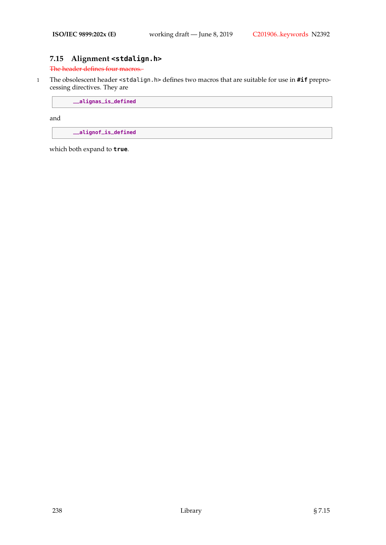# **7.15 Alignment <stdalign.h>**

The header defines four macros.

1 The obsolescent header <stdalign.h> defines two macros that are suitable for use in **#if** preprocessing directives. They are

**\_\_alignas\_is\_defined**

and

**\_\_alignof\_is\_defined**

which both expand to **true**.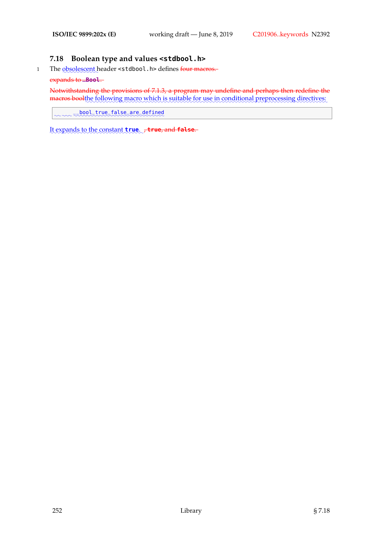#### **7.18 Boolean type and values <stdbool.h>**

1 The <u>obsolescent</u> header <stdbool . h> defines <del>four macros.</del>

#### expands to **\_Bool**.

Notwithstanding the provisions of 7.1.3, a program may undefine and perhaps then redefine the macros boolthe following macro which is suitable for use in conditional preprocessing directives:

✿✿ ✿✿✿ ✿✿✿✿✿✿✿✿✿✿✿✿✿✿✿✿✿✿✿✿✿✿✿✿✿✿✿✿ \_\_bool\_true\_false\_are\_defined

It expands to the constant  $true$ ,  $\tau$  true, and false.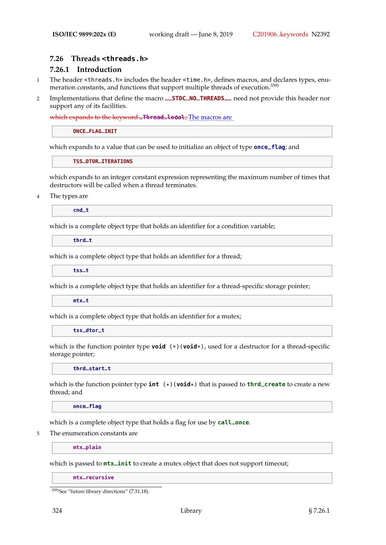# **7.26 Threads <threads.h>**

# **7.26.1 Introduction**

- 1 The header <threads.h> includes the header <time.h>, defines macros, and declares types, enumeration constants, and functions that support multiple threads of execution.<sup>339)</sup>
- <sup>2</sup> Implementations that define the macro **\_\_STDC\_NO\_THREADS\_\_** need not provide this header nor support any of its facilities.

which expands to the keyword **\_Thread\_local**; The macros are

**ONCE\_FLAG\_INIT**

which expands to a value that can be used to initialize an object of type **once\_flag**; and

**TSS\_DTOR\_ITERATIONS**

which expands to an integer constant expression representing the maximum number of times that destructors will be called when a thread terminates.

4 The types are

**cnd\_t**

which is a complete object type that holds an identifier for a condition variable;

**thrd\_t**

which is a complete object type that holds an identifier for a thread;

**tss\_t**

which is a complete object type that holds an identifier for a thread-specific storage pointer;

**mtx\_t**

which is a complete object type that holds an identifier for a mutex;

**tss\_dtor\_t**

which is the function pointer type **void** (\*)(**void**\*), used for a destructor for a thread-specific storage pointer;

**thrd\_start\_t**

which is the function pointer type **int** (\*)(**void**\*) that is passed to **thrd\_create** to create a new thread; and

**once\_flag**

which is a complete object type that holds a flag for use by **call\_once**.

5 The enumeration constants are

**mtx\_plain**

which is passed to **mtx\_init** to create a mutex object that does not support timeout;

**mtx\_recursive**

<sup>339)</sup>See "future library directions" (7.31.18).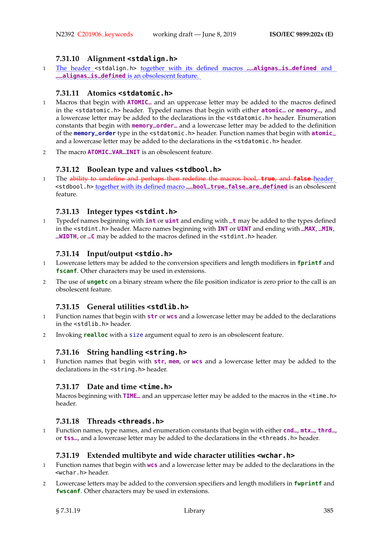# **7.31.10 Alignment <stdalign.h>**

1 The header <stdalign.h> <u>together with its defined macros</u> **\_\_alignas\_is\_defined** and **\_\_alignas\_is\_defined** is an obsolescent feature.

# **7.31.11 Atomics <stdatomic.h>**

- <sup>1</sup> Macros that begin with **ATOMIC\_** and an uppercase letter may be added to the macros defined in the <stdatomic.h> header. Typedef names that begin with either **atomic\_** or **memory\_**, and a lowercase letter may be added to the declarations in the <stdatomic.h> header. Enumeration constants that begin with **memory\_order\_** and a lowercase letter may be added to the definition of the **memory\_order** type in the <stdatomic.h> header. Function names that begin with **atomic\_** and a lowercase letter may be added to the declarations in the <stdatomic.h> header.
- <sup>2</sup> The macro **ATOMIC\_VAR\_INIT** is an obsolescent feature.

# **7.31.12 Boolean type and values <stdbool.h>**

1 The a<del>bility to undefine and perhaps then redefine the macros bool, **true**, and **false** header</del> <stdbool.h> together with its defined macro **\_\_bool\_true\_false\_are\_defined** is an obsolescent feature.

# **7.31.13 Integer types <stdint.h>**

<sup>1</sup> Typedef names beginning with **int** or **uint** and ending with **\_t** may be added to the types defined in the <stdint.h> header. Macro names beginning with **INT** or **UINT** and ending with **\_MAX**, **\_MIN**, **\_WIDTH**, or **\_C** may be added to the macros defined in the <stdint.h> header.

# **7.31.14 Input/output <stdio.h>**

- 1 Lowercase letters may be added to the conversion specifiers and length modifiers in **fprintf** and **fscanf**. Other characters may be used in extensions.
- 2 The use of **ungetc** on a binary stream where the file position indicator is zero prior to the call is an obsolescent feature.

#### **7.31.15 General utilities <stdlib.h>**

- 1 Function names that begin with **str** or **wcs** and a lowercase letter may be added to the declarations in the <stdlib.h> header.
- 2 Invoking **realloc** with a size argument equal to zero is an obsolescent feature.

#### **7.31.16 String handling <string.h>**

1 Function names that begin with **str**, **mem**, or **wcs** and a lowercase letter may be added to the declarations in the <string.h> header.

#### **7.31.17 Date and time <time.h>**

Macros beginning with **TIME\_** and an uppercase letter may be added to the macros in the <time.h> header.

#### **7.31.18 Threads <threads.h>**

<sup>1</sup> Function names, type names, and enumeration constants that begin with either **cnd\_**, **mtx\_**, **thrd\_**, or **tss\_**, and a lowercase letter may be added to the declarations in the <threads.h> header.

#### **7.31.19 Extended multibyte and wide character utilities <wchar.h>**

- 1 Function names that begin with **wcs** and a lowercase letter may be added to the declarations in the <wchar.h> header.
- 2 Lowercase letters may be added to the conversion specifiers and length modifiers in **fwprintf** and **fwscanf**. Other characters may be used in extensions.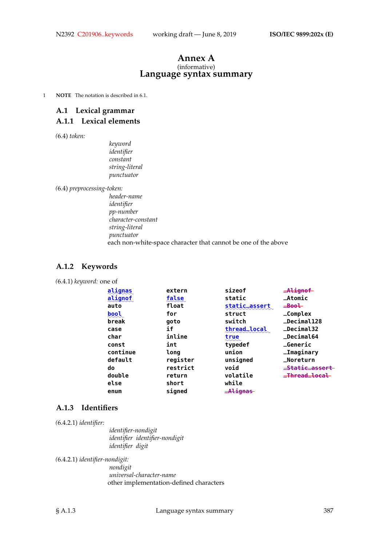#### **Annex A** (informative) **Language syntax summary**

1 **NOTE** The notation is described in 6.1.

# **A.1 Lexical grammar**

# **A.1.1 Lexical elements**

*(*6.4) *token:*

*keyword identifier constant string-literal punctuator*

*(*6.4) *preprocessing-token:*

*header-name identifier pp-number character-constant string-literal punctuator* each non-white-space character that cannot be one of the above

#### **A.1.2 Keywords**

*(*6.4.1) *keyword:* one of

| alignas  | extern   | sizeof        | $-$ Alignof               |
|----------|----------|---------------|---------------------------|
| alignof  | false    | static        | $A$ tomic                 |
| auto     | float    | static_assert | $\equiv$ Bool             |
| bool     | for      | struct        | $_{\rm \_Complex}$        |
| break    | qoto     | switch        | <b>_Decimal128</b>        |
| case     | if       | thread_local  | $\_Decima132$             |
| char     | inline   | true          | _Decimal64                |
| const    | int      | typedef       | <b>_Generic</b>           |
| continue | long     | union         | _Imaginary                |
| default  | register | unsigned      | _Noreturn                 |
| do       | restrict | void          | <del>_Static_assert</del> |
| double   | return   | volatile      | <del>_Thread_local_</del> |
| else     | short    | while         |                           |
| enum     | signed   | $Alignas$     |                           |

# **A.1.3 Identifiers**

*(*6.4.2.1) *identifier:*

*identifier-nondigit identifier identifier-nondigit identifier digit*

*(*6.4.2.1) *identifier-nondigit:*

*nondigit universal-character-name* other implementation-defined characters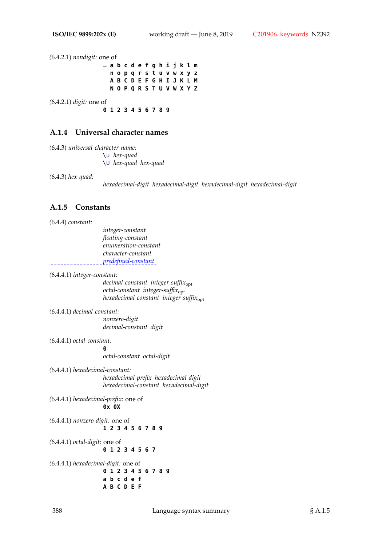*(*6.4.2.1) *nondigit:* one of **\_ a b c d e f g h i j k l m n o p q r s t u v w x y z A B C D E F G H I J K L M N O P Q R S T U V W X Y Z** *(*6.4.2.1) *digit:* one of **0 1 2 3 4 5 6 7 8 9**

#### **A.1.4 Universal character names**

*(*6.4.3) *universal-character-name:* \u *hex-quad* \U *hex-quad hex-quad*

*(*6.4.3) *hex-quad:*

*hexadecimal-digit hexadecimal-digit hexadecimal-digit hexadecimal-digit*

#### **A.1.5 Constants**

*(*6.4.4) *constant:*

*integer-constant floating-constant enumeration-constant character-constant* ✿✿✿✿✿✿✿✿✿✿✿✿✿✿✿✿✿✿✿✿✿✿✿✿✿✿✿✿✿✿✿✿ *predefined-constant*✿

*(*6.4.4.1) *integer-constant:*

*decimal-constant integer-suffix*opt *octal-constant integer-suffix*opt *hexadecimal-constant integer-suffix*opt

- *(*6.4.4.1) *decimal-constant: nonzero-digit decimal-constant digit*
- *(*6.4.4.1) *octal-constant:*

**0** *octal-constant octal-digit*

*(*6.4.4.1) *hexadecimal-constant: hexadecimal-prefix hexadecimal-digit hexadecimal-constant hexadecimal-digit*

*(*6.4.4.1) *hexadecimal-prefix:* one of **0x 0X**

*(*6.4.4.1) *nonzero-digit:* one of **1 2 3 4 5 6 7 8 9**

*(*6.4.4.1) *octal-digit:* one of **0 1 2 3 4 5 6 7**

*(*6.4.4.1) *hexadecimal-digit:* one of **0 1 2 3 4 5 6 7 8 9 a b c d e f A B C D E F**